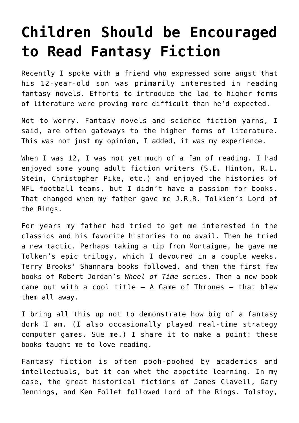## **[Children Should be Encouraged](https://intellectualtakeout.org/2016/08/children-should-be-encouraged-to-read-fantasy-fiction/) [to Read Fantasy Fiction](https://intellectualtakeout.org/2016/08/children-should-be-encouraged-to-read-fantasy-fiction/)**

Recently I spoke with a friend who expressed some angst that his 12-year-old son was primarily interested in reading fantasy novels. Efforts to introduce the lad to higher forms of literature were proving more difficult than he'd expected.

Not to worry. Fantasy novels and science fiction yarns, I said, are often gateways to the higher forms of literature. This was not just my opinion, I added, it was my experience.

When I was 12, I was not yet much of a fan of reading. I had enjoyed some young adult fiction writers (S.E. Hinton, R.L. Stein, Christopher Pike, etc.) and enjoyed the histories of NFL football teams, but I didn't have a passion for books. That changed when my father gave me J.R.R. Tolkien's Lord of the Rings.

For years my father had tried to get me interested in the classics and his favorite histories to no avail. Then he tried a new tactic. Perhaps taking a tip from Montaigne, he gave me Tolken's epic trilogy, which I devoured in a couple weeks. Terry Brooks' Shannara books followed, and then the first few books of Robert Jordan's *Wheel of Time* series. Then a new book came out with a cool title  $-$  A Game of Thrones  $-$  that blew them all away.

I bring all this up not to demonstrate how big of a fantasy dork I am. (I also occasionally played real-time strategy computer games. Sue me.) I share it to make a point: these books taught me to love reading.

Fantasy fiction is often pooh-poohed by academics and intellectuals, but it can whet the appetite learning. In my case, the great historical fictions of James Clavell, Gary Jennings, and Ken Follet followed Lord of the Rings. Tolstoy,